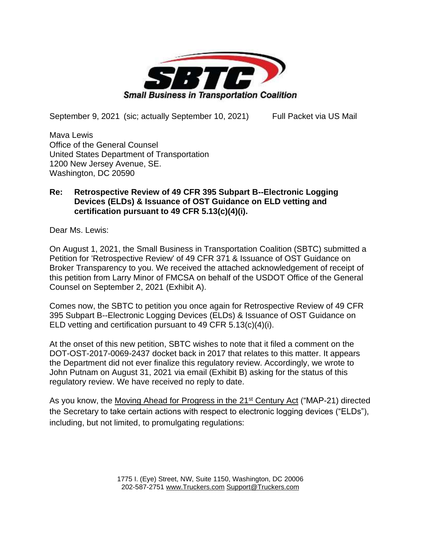

September 9, 2021 (sic; actually September 10, 2021) Full Packet via US Mail

Mava Lewis Office of the General Counsel United States Department of Transportation 1200 New Jersey Avenue, SE. Washington, DC 20590

# **Re: Retrospective Review of 49 CFR 395 Subpart B--Electronic Logging Devices (ELDs) & Issuance of OST Guidance on ELD vetting and certification pursuant to 49 CFR 5.13(c)(4)(i).**

Dear Ms. Lewis:

On August 1, 2021, the Small Business in Transportation Coalition (SBTC) submitted a Petition for 'Retrospective Review' of 49 CFR 371 & Issuance of OST Guidance on Broker Transparency to you. We received the attached acknowledgement of receipt of this petition from Larry Minor of FMCSA on behalf of the USDOT Office of the General Counsel on September 2, 2021 (Exhibit A).

Comes now, the SBTC to petition you once again for Retrospective Review of 49 CFR 395 Subpart B--Electronic Logging Devices (ELDs) & Issuance of OST Guidance on ELD vetting and certification pursuant to 49 CFR 5.13(c)(4)(i).

At the onset of this new petition, SBTC wishes to note that it filed a comment on the DOT-OST-2017-0069-2437 docket back in 2017 that relates to this matter. It appears the Department did not ever finalize this regulatory review. Accordingly, we wrote to John Putnam on August 31, 2021 via email (Exhibit B) asking for the status of this regulatory review. We have received no reply to date.

As you know, the Moving Ahead for Progress in the 21<sup>st</sup> Century Act ("MAP-21) directed the Secretary to take certain actions with respect to electronic logging devices ("ELDs"), including, but not limited, to promulgating regulations: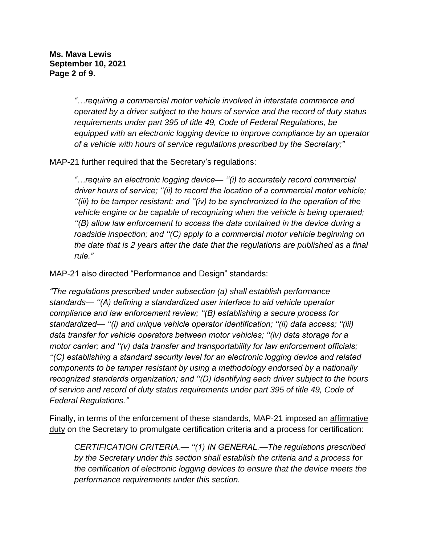**Ms. Mava Lewis September 10, 2021 Page 2 of 9.**

> *"…requiring a commercial motor vehicle involved in interstate commerce and operated by a driver subject to the hours of service and the record of duty status requirements under part 395 of title 49, Code of Federal Regulations, be equipped with an electronic logging device to improve compliance by an operator of a vehicle with hours of service regulations prescribed by the Secretary;"*

MAP-21 further required that the Secretary's regulations:

*"…require an electronic logging device— ''(i) to accurately record commercial driver hours of service; ''(ii) to record the location of a commercial motor vehicle; ''(iii) to be tamper resistant; and ''(iv) to be synchronized to the operation of the vehicle engine or be capable of recognizing when the vehicle is being operated; ''(B) allow law enforcement to access the data contained in the device during a roadside inspection; and ''(C) apply to a commercial motor vehicle beginning on the date that is 2 years after the date that the regulations are published as a final rule."* 

MAP-21 also directed "Performance and Design" standards:

*"The regulations prescribed under subsection (a) shall establish performance standards— ''(A) defining a standardized user interface to aid vehicle operator compliance and law enforcement review; ''(B) establishing a secure process for standardized— ''(i) and unique vehicle operator identification; ''(ii) data access; ''(iii) data transfer for vehicle operators between motor vehicles; ''(iv) data storage for a motor carrier; and ''(v) data transfer and transportability for law enforcement officials; ''(C) establishing a standard security level for an electronic logging device and related components to be tamper resistant by using a methodology endorsed by a nationally recognized standards organization; and ''(D) identifying each driver subject to the hours of service and record of duty status requirements under part 395 of title 49, Code of Federal Regulations."*

Finally, in terms of the enforcement of these standards, MAP-21 imposed an affirmative duty on the Secretary to promulgate certification criteria and a process for certification:

*CERTIFICATION CRITERIA.— ''(1) IN GENERAL.—The regulations prescribed by the Secretary under this section shall establish the criteria and a process for the certification of electronic logging devices to ensure that the device meets the performance requirements under this section.*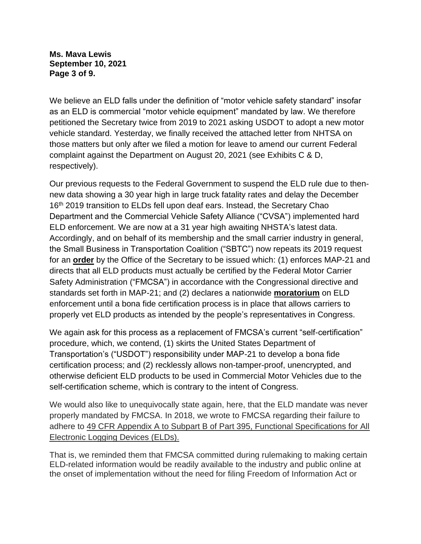**Ms. Mava Lewis September 10, 2021 Page 3 of 9.**

We believe an ELD falls under the definition of "motor vehicle safety standard" insofar as an ELD is commercial "motor vehicle equipment" mandated by law. We therefore petitioned the Secretary twice from 2019 to 2021 asking USDOT to adopt a new motor vehicle standard. Yesterday, we finally received the attached letter from NHTSA on those matters but only after we filed a motion for leave to amend our current Federal complaint against the Department on August 20, 2021 (see Exhibits C & D, respectively).

Our previous requests to the Federal Government to suspend the ELD rule due to thennew data showing a 30 year high in large truck fatality rates and delay the December 16<sup>th</sup> 2019 transition to ELDs fell upon deaf ears. Instead, the Secretary Chao Department and the Commercial Vehicle Safety Alliance ("CVSA") implemented hard ELD enforcement. We are now at a 31 year high awaiting NHSTA's latest data. Accordingly, and on behalf of its membership and the small carrier industry in general, the Small Business in Transportation Coalition ("SBTC") now repeats its 2019 request for an **order** by the Office of the Secretary to be issued which: (1) enforces MAP-21 and directs that all ELD products must actually be certified by the Federal Motor Carrier Safety Administration ("FMCSA") in accordance with the Congressional directive and standards set forth in MAP-21; and (2) declares a nationwide **moratorium** on ELD enforcement until a bona fide certification process is in place that allows carriers to properly vet ELD products as intended by the people's representatives in Congress.

We again ask for this process as a replacement of FMCSA's current "self-certification" procedure, which, we contend, (1) skirts the United States Department of Transportation's ("USDOT") responsibility under MAP-21 to develop a bona fide certification process; and (2) recklessly allows non-tamper-proof, unencrypted, and otherwise deficient ELD products to be used in Commercial Motor Vehicles due to the self-certification scheme, which is contrary to the intent of Congress.

We would also like to unequivocally state again, here, that the ELD mandate was never properly mandated by FMCSA. In 2018, we wrote to FMCSA regarding their failure to adhere to 49 CFR Appendix A to Subpart B of Part 395, Functional Specifications for All Electronic Logging Devices (ELDs).

That is, we reminded them that FMCSA committed during rulemaking to making certain ELD-related information would be readily available to the industry and public online at the onset of implementation without the need for filing Freedom of Information Act or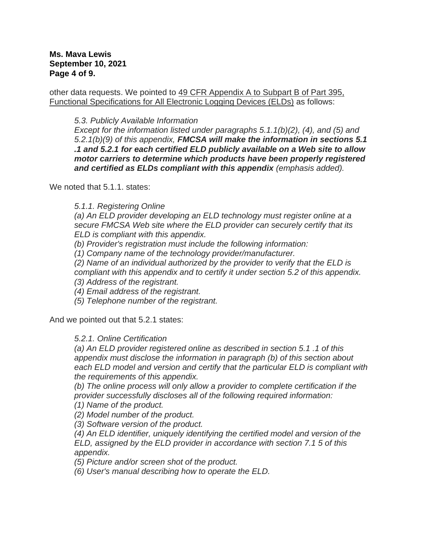#### **Ms. Mava Lewis September 10, 2021 Page 4 of 9.**

other data requests. We pointed to 49 CFR Appendix A to Subpart B of Part 395, Functional Specifications for All Electronic Logging Devices (ELDs) as follows:

## *5.3. Publicly Available Information*

*Except for the information listed under paragraphs 5.1.1(b)(2), (4), and (5) and 5.2.1(b)(9) of this appendix, FMCSA will make the information in sections 5.1 .1 and 5.2.1 for each certified ELD publicly available on a Web site to allow motor carriers to determine which products have been properly registered and certified as ELDs compliant with this appendix (emphasis added).*

We noted that 5.1.1. states:

*5.1.1. Registering Online*

*(a) An ELD provider developing an ELD technology must register online at a secure FMCSA Web site where the ELD provider can securely certify that its ELD is compliant with this appendix.*

*(b) Provider's registration must include the following information:*

*(1) Company name of the technology provider/manufacturer.*

*(2) Name of an individual authorized by the provider to verify that the ELD is* 

*compliant with this appendix and to certify it under section 5.2 of this appendix.*

*(3) Address of the registrant.*

*(4) Email address of the registrant.*

*(5) Telephone number of the registrant.*

And we pointed out that 5.2.1 states:

## *5.2.1. Online Certification*

*(a) An ELD provider registered online as described in section 5.1 .1 of this appendix must disclose the information in paragraph (b) of this section about each ELD model and version and certify that the particular ELD is compliant with the requirements of this appendix.*

*(b) The online process will only allow a provider to complete certification if the provider successfully discloses all of the following required information:*

*(1) Name of the product.*

*(2) Model number of the product.*

*(3) Software version of the product.*

*(4) An ELD identifier, uniquely identifying the certified model and version of the ELD, assigned by the ELD provider in accordance with section 7.1 5 of this appendix.*

*(5) Picture and/or screen shot of the product.*

*(6) User's manual describing how to operate the ELD.*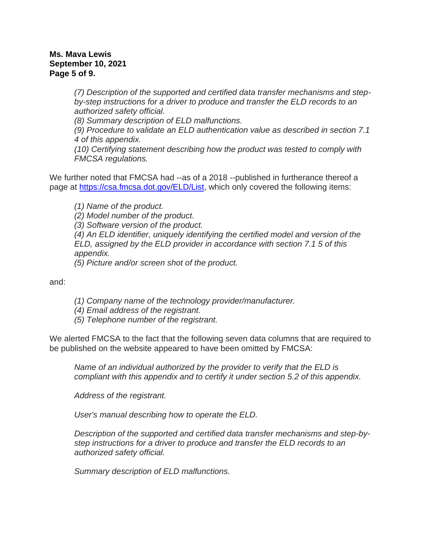#### **Ms. Mava Lewis September 10, 2021 Page 5 of 9.**

*(7) Description of the supported and certified data transfer mechanisms and stepby-step instructions for a driver to produce and transfer the ELD records to an authorized safety official.*

*(8) Summary description of ELD malfunctions.*

*(9) Procedure to validate an ELD authentication value as described in section 7.1 4 of this appendix.*

*(10) Certifying statement describing how the product was tested to comply with FMCSA regulations.*

We further noted that FMCSA had --as of a 2018 --published in furtherance thereof a page at [https://csa.fmcsa.dot.gov/ELD/List,](https://csa.fmcsa.dot.gov/ELD/List) which only covered the following items:

*(1) Name of the product.*

*(2) Model number of the product.*

*(3) Software version of the product.*

*(4) An ELD identifier, uniquely identifying the certified model and version of the ELD, assigned by the ELD provider in accordance with section 7.1 5 of this appendix.*

*(5) Picture and/or screen shot of the product.* 

and:

- *(1) Company name of the technology provider/manufacturer.*
- *(4) Email address of the registrant.*
- *(5) Telephone number of the registrant.*

We alerted FMCSA to the fact that the following seven data columns that are required to be published on the website appeared to have been omitted by FMCSA:

*Name of an individual authorized by the provider to verify that the ELD is compliant with this appendix and to certify it under section 5.2 of this appendix.*

*Address of the registrant.*

*User's manual describing how to operate the ELD.*

*Description of the supported and certified data transfer mechanisms and step-bystep instructions for a driver to produce and transfer the ELD records to an authorized safety official.*

*Summary description of ELD malfunctions.*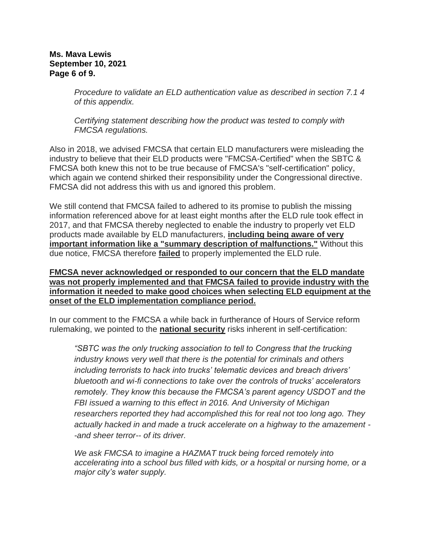#### **Ms. Mava Lewis September 10, 2021 Page 6 of 9.**

*Procedure to validate an ELD authentication value as described in section 7.1 4 of this appendix.*

*Certifying statement describing how the product was tested to comply with FMCSA regulations.*

Also in 2018, we advised FMCSA that certain ELD manufacturers were misleading the industry to believe that their ELD products were "FMCSA-Certified" when the SBTC & FMCSA both knew this not to be true because of FMCSA's "self-certification" policy, which again we contend shirked their responsibility under the Congressional directive. FMCSA did not address this with us and ignored this problem.

We still contend that FMCSA failed to adhered to its promise to publish the missing information referenced above for at least eight months after the ELD rule took effect in 2017, and that FMCSA thereby neglected to enable the industry to properly vet ELD products made available by ELD manufacturers, **including being aware of very important information like a "summary description of malfunctions."** Without this due notice, FMCSA therefore **failed** to properly implemented the ELD rule.

## **FMCSA never acknowledged or responded to our concern that the ELD mandate was not properly implemented and that FMCSA failed to provide industry with the information it needed to make good choices when selecting ELD equipment at the onset of the ELD implementation compliance period.**

In our comment to the FMCSA a while back in furtherance of Hours of Service reform rulemaking, we pointed to the **national security** risks inherent in self-certification:

*"SBTC was the only trucking association to tell to Congress that the trucking industry knows very well that there is the potential for criminals and others including terrorists to hack into trucks' telematic devices and breach drivers' bluetooth and wi-fi connections to take over the controls of trucks' accelerators remotely. They know this because the FMCSA's parent agency USDOT and the FBI issued a warning to this effect in 2016. And University of Michigan researchers reported they had accomplished this for real not too long ago. They actually hacked in and made a truck accelerate on a highway to the amazement - -and sheer terror-- of its driver.*

*We ask FMCSA to imagine a HAZMAT truck being forced remotely into accelerating into a school bus filled with kids, or a hospital or nursing home, or a major city's water supply.*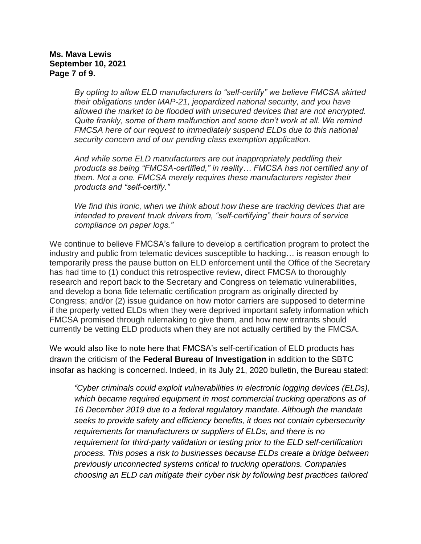#### **Ms. Mava Lewis September 10, 2021 Page 7 of 9.**

*By opting to allow ELD manufacturers to "self-certify" we believe FMCSA skirted their obligations under MAP-21, jeopardized national security, and you have allowed the market to be flooded with unsecured devices that are not encrypted. Quite frankly, some of them malfunction and some don't work at all. We remind FMCSA here of our request to immediately suspend ELDs due to this national security concern and of our pending class exemption application.* 

*And while some ELD manufacturers are out inappropriately peddling their products as being "FMCSA-certified," in reality… FMCSA has not certified any of them. Not a one. FMCSA merely requires these manufacturers register their products and "self-certify."* 

*We find this ironic, when we think about how these are tracking devices that are intended to prevent truck drivers from, "self-certifying" their hours of service compliance on paper logs."*

We continue to believe FMCSA's failure to develop a certification program to protect the industry and public from telematic devices susceptible to hacking… is reason enough to temporarily press the pause button on ELD enforcement until the Office of the Secretary has had time to (1) conduct this retrospective review, direct FMCSA to thoroughly research and report back to the Secretary and Congress on telematic vulnerabilities, and develop a bona fide telematic certification program as originally directed by Congress; and/or (2) issue guidance on how motor carriers are supposed to determine if the properly vetted ELDs when they were deprived important safety information which FMCSA promised through rulemaking to give them, and how new entrants should currently be vetting ELD products when they are not actually certified by the FMCSA.

We would also like to note here that FMCSA's self-certification of ELD products has drawn the criticism of the **Federal Bureau of Investigation** in addition to the SBTC insofar as hacking is concerned. Indeed, in its July 21, 2020 bulletin, the Bureau stated:

*"Cyber criminals could exploit vulnerabilities in electronic logging devices (ELDs), which became required equipment in most commercial trucking operations as of 16 December 2019 due to a federal regulatory mandate. Although the mandate seeks to provide safety and efficiency benefits, it does not contain cybersecurity requirements for manufacturers or suppliers of ELDs, and there is no requirement for third-party validation or testing prior to the ELD self-certification process. This poses a risk to businesses because ELDs create a bridge between previously unconnected systems critical to trucking operations. Companies choosing an ELD can mitigate their cyber risk by following best practices tailored*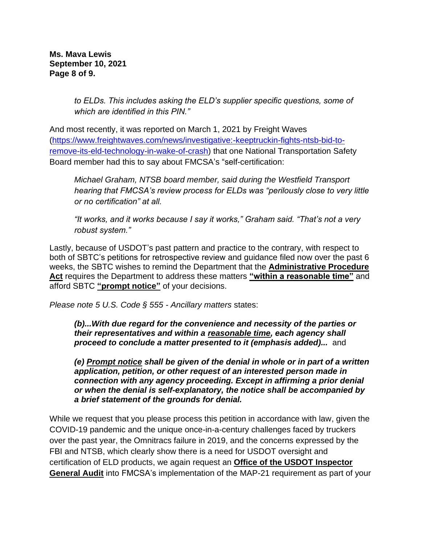**Ms. Mava Lewis September 10, 2021 Page 8 of 9.**

> *to ELDs. This includes asking the ELD's supplier specific questions, some of which are identified in this PIN."*

And most recently, it was reported on March 1, 2021 by Freight Waves [\(https://www.freightwaves.com/news/investigative:-keeptruckin-fights-ntsb-bid-to](https://www.freightwaves.com/news/investigative:-keeptruckin-fights-ntsb-bid-to-remove-its-eld-technology-in-wake-of-crash)[remove-its-eld-technology-in-wake-of-crash\)](https://www.freightwaves.com/news/investigative:-keeptruckin-fights-ntsb-bid-to-remove-its-eld-technology-in-wake-of-crash) that one National Transportation Safety Board member had this to say about FMCSA's "self-certification:

*Michael Graham, NTSB board member, said during the Westfield Transport hearing that FMCSA's review process for ELDs was "perilously close to very little or no certification" at all.*

*"It works, and it works because I say it works," Graham said. "That's not a very robust system."*

Lastly, because of USDOT's past pattern and practice to the contrary, with respect to both of SBTC's petitions for retrospective review and guidance filed now over the past 6 weeks, the SBTC wishes to remind the Department that the **Administrative Procedure Act** requires the Department to address these matters **"within a reasonable time"** and afford SBTC **"prompt notice"** of your decisions.

*Please note 5 U.S. Code § 555 - Ancillary matters* states:

*(b)...With due regard for the convenience and necessity of the parties or their representatives and within a reasonable time, each [agency](https://www.law.cornell.edu/definitions/uscode.php?width=840&height=800&iframe=true&def_id=5-USC-1419699195-1277204883&term_occur=999&term_src=title:5:part:I:chapter:5:subchapter:II:section:555) shall proceed to conclude a matter presented to it (emphasis added)...* and

*(e) Prompt notice shall be given of the denial in whole or in part of a written application, petition, or other request of an interested [person](https://www.law.cornell.edu/definitions/uscode.php?width=840&height=800&iframe=true&def_id=5-USC-991716523-1277204884&term_occur=999&term_src=title:5:part:I:chapter:5:subchapter:II:section:555) made in connection with any [agency proceeding.](https://www.law.cornell.edu/definitions/uscode.php?width=840&height=800&iframe=true&def_id=5-USC-1736575855-938645759&term_occur=999&term_src=title:5:part:I:chapter:5:subchapter:II:section:555) Except in affirming a prior denial or when the denial is self-explanatory, the notice shall be accompanied by a brief statement of the grounds for denial.*

While we request that you please process this petition in accordance with law, given the COVID-19 pandemic and the unique once-in-a-century challenges faced by truckers over the past year, the Omnitracs failure in 2019, and the concerns expressed by the FBI and NTSB, which clearly show there is a need for USDOT oversight and certification of ELD products, we again request an **Office of the USDOT Inspector General Audit** into FMCSA's implementation of the MAP-21 requirement as part of your